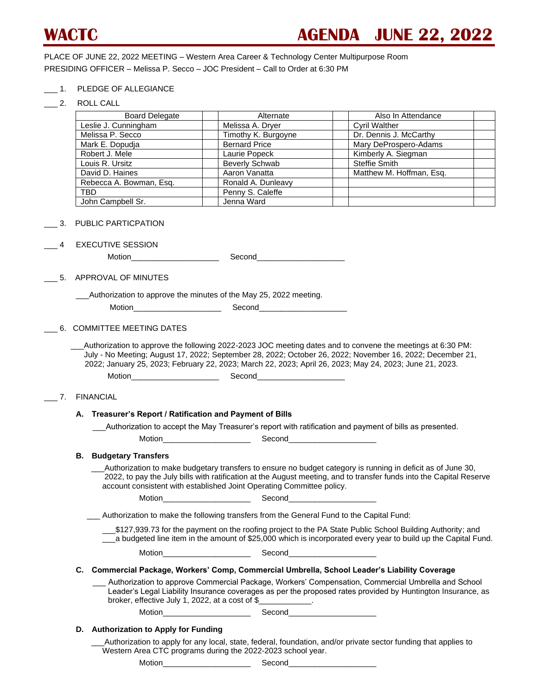PLACE OF JUNE 22, 2022 MEETING – Western Area Career & Technology Center Multipurpose Room PRESIDING OFFICER – Melissa P. Secco – JOC President – Call to Order at 6:30 PM

- \_\_\_ 1. PLEDGE OF ALLEGIANCE
- \_\_\_ 2. ROLL CALL

| z. | <b>RULL UALL</b>                                                                                                       |                                                                                          |                                                                                                                                                                                                                                    |
|----|------------------------------------------------------------------------------------------------------------------------|------------------------------------------------------------------------------------------|------------------------------------------------------------------------------------------------------------------------------------------------------------------------------------------------------------------------------------|
|    | <b>Board Delegate</b>                                                                                                  | Alternate                                                                                | Also In Attendance                                                                                                                                                                                                                 |
|    | Leslie J. Cunningham                                                                                                   | Melissa A. Dryer                                                                         | <b>Cyril Walther</b>                                                                                                                                                                                                               |
|    | Melissa P. Secco                                                                                                       | Timothy K. Burgoyne                                                                      | Dr. Dennis J. McCarthy                                                                                                                                                                                                             |
|    | Mark E. Dopudja                                                                                                        | <b>Bernard Price</b>                                                                     | Mary DeProspero-Adams                                                                                                                                                                                                              |
|    | Robert J. Mele                                                                                                         | Laurie Popeck                                                                            | Kimberly A. Siegman                                                                                                                                                                                                                |
|    | Louis R. Ursitz                                                                                                        | <b>Beverly Schwab</b>                                                                    | <b>Steffie Smith</b>                                                                                                                                                                                                               |
|    | David D. Haines                                                                                                        | Aaron Vanatta                                                                            | Matthew M. Hoffman, Esq.                                                                                                                                                                                                           |
|    | Rebecca A. Bowman, Esq.                                                                                                | Ronald A. Dunleavy                                                                       |                                                                                                                                                                                                                                    |
|    | <b>TBD</b>                                                                                                             | Penny S. Caleffe                                                                         |                                                                                                                                                                                                                                    |
|    | John Campbell Sr.                                                                                                      | Jenna Ward                                                                               |                                                                                                                                                                                                                                    |
|    | PUBLIC PARTICPATION                                                                                                    |                                                                                          |                                                                                                                                                                                                                                    |
|    | <b>EXECUTIVE SESSION</b>                                                                                               |                                                                                          |                                                                                                                                                                                                                                    |
|    |                                                                                                                        |                                                                                          |                                                                                                                                                                                                                                    |
|    | APPROVAL OF MINUTES                                                                                                    |                                                                                          |                                                                                                                                                                                                                                    |
|    |                                                                                                                        | _Authorization to approve the minutes of the May 25, 2022 meeting.                       |                                                                                                                                                                                                                                    |
|    |                                                                                                                        |                                                                                          |                                                                                                                                                                                                                                    |
|    |                                                                                                                        |                                                                                          |                                                                                                                                                                                                                                    |
|    | 6. COMMITTEE MEETING DATES                                                                                             |                                                                                          |                                                                                                                                                                                                                                    |
| 7. | <b>FINANCIAL</b><br>A. Treasurer's Report / Ratification and Payment of Bills                                          |                                                                                          | Authorization to accept the May Treasurer's report with ratification and payment of bills as presented.                                                                                                                            |
|    |                                                                                                                        |                                                                                          |                                                                                                                                                                                                                                    |
|    | <b>B.</b> Budgetary Transfers                                                                                          |                                                                                          |                                                                                                                                                                                                                                    |
|    |                                                                                                                        | account consistent with established Joint Operating Committee policy.                    | Authorization to make budgetary transfers to ensure no budget category is running in deficit as of June 30,<br>2022, to pay the July bills with ratification at the August meeting, and to transfer funds into the Capital Reserve |
|    |                                                                                                                        |                                                                                          |                                                                                                                                                                                                                                    |
|    |                                                                                                                        | Authorization to make the following transfers from the General Fund to the Capital Fund: |                                                                                                                                                                                                                                    |
|    |                                                                                                                        |                                                                                          | _\$127,939.73 for the payment on the roofing project to the PA State Public School Building Authority; and<br>__a budgeted line item in the amount of \$25,000 which is incorporated every year to build up the Capital Fund.      |
|    |                                                                                                                        |                                                                                          |                                                                                                                                                                                                                                    |
|    |                                                                                                                        |                                                                                          | C. Commercial Package, Workers' Comp, Commercial Umbrella, School Leader's Liability Coverage                                                                                                                                      |
|    |                                                                                                                        | broker, effective July 1, 2022, at a cost of $\frac{1}{2}$ ____________.                 | Authorization to approve Commercial Package, Workers' Compensation, Commercial Umbrella and School_<br>Leader's Legal Liability Insurance coverages as per the proposed rates provided by Huntington Insurance, as                 |
|    |                                                                                                                        |                                                                                          |                                                                                                                                                                                                                                    |
|    | D. Authorization to Apply for Funding                                                                                  |                                                                                          |                                                                                                                                                                                                                                    |
|    |                                                                                                                        | Western Area CTC programs during the 2022-2023 school year.                              | Authorization to apply for any local, state, federal, foundation, and/or private sector funding that applies to                                                                                                                    |
|    | Motion <b>Exercise Service Service Service</b> Service Service Service Service Service Service Service Service Service | Second                                                                                   |                                                                                                                                                                                                                                    |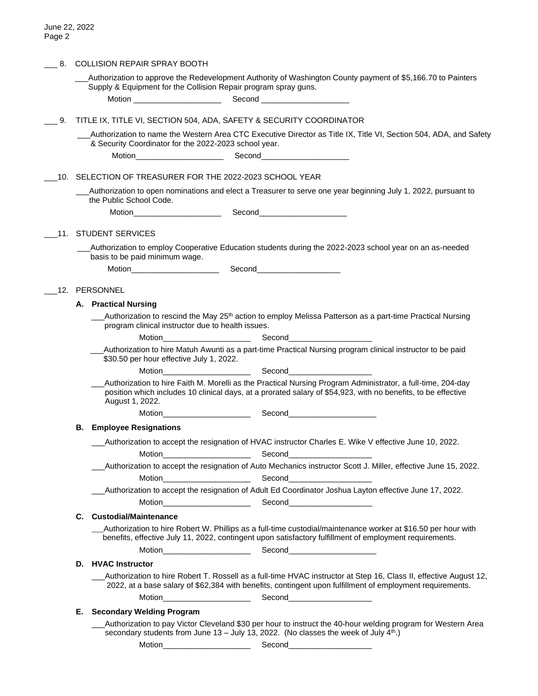| 8.  | COLLISION REPAIR SPRAY BOOTH                                        |                                                                                                                                                                                                                                |  |                                                                                                                                                                                                                                |  |  |
|-----|---------------------------------------------------------------------|--------------------------------------------------------------------------------------------------------------------------------------------------------------------------------------------------------------------------------|--|--------------------------------------------------------------------------------------------------------------------------------------------------------------------------------------------------------------------------------|--|--|
|     |                                                                     | Supply & Equipment for the Collision Repair program spray guns.                                                                                                                                                                |  | Authorization to approve the Redevelopment Authority of Washington County payment of \$5,166.70 to Painters                                                                                                                    |  |  |
|     |                                                                     | Motion _______________________                                                                                                                                                                                                 |  | Second _______________________                                                                                                                                                                                                 |  |  |
| 9.  | TITLE IX, TITLE VI, SECTION 504, ADA, SAFETY & SECURITY COORDINATOR |                                                                                                                                                                                                                                |  |                                                                                                                                                                                                                                |  |  |
|     |                                                                     | & Security Coordinator for the 2022-2023 school year.                                                                                                                                                                          |  | Authorization to name the Western Area CTC Executive Director as Title IX, Title VI, Section 504, ADA, and Safety                                                                                                              |  |  |
|     |                                                                     | Motion <b>Exercise Service Service</b> Service Service Service Service Service Service Service Service Service Service                                                                                                         |  | Second <b>Second</b>                                                                                                                                                                                                           |  |  |
|     | 10. SELECTION OF TREASURER FOR THE 2022-2023 SCHOOL YEAR            |                                                                                                                                                                                                                                |  |                                                                                                                                                                                                                                |  |  |
|     |                                                                     | the Public School Code.                                                                                                                                                                                                        |  | _Authorization to open nominations and elect a Treasurer to serve one year beginning July 1, 2022, pursuant to                                                                                                                 |  |  |
|     |                                                                     |                                                                                                                                                                                                                                |  |                                                                                                                                                                                                                                |  |  |
| .11 |                                                                     | <b>STUDENT SERVICES</b>                                                                                                                                                                                                        |  |                                                                                                                                                                                                                                |  |  |
|     |                                                                     | basis to be paid minimum wage.                                                                                                                                                                                                 |  | Authorization to employ Cooperative Education students during the 2022-2023 school year on an as-needed                                                                                                                        |  |  |
|     |                                                                     | Motion Second Second Second Second Second Second Second Second Second Second Second Second Second Second Second Second Second Second Second Second Second Second Second Second Second Second Second Second Second Second Secon |  |                                                                                                                                                                                                                                |  |  |
|     |                                                                     | 12. PERSONNEL                                                                                                                                                                                                                  |  |                                                                                                                                                                                                                                |  |  |
|     |                                                                     | A. Practical Nursing                                                                                                                                                                                                           |  |                                                                                                                                                                                                                                |  |  |
|     |                                                                     | program clinical instructor due to health issues.                                                                                                                                                                              |  | Authorization to rescind the May 25 <sup>th</sup> action to employ Melissa Patterson as a part-time Practical Nursing                                                                                                          |  |  |
|     |                                                                     | Motion <b>Executive Service Service Service</b> Service Service Service Service Service Service Service Service Service                                                                                                        |  | Second <b>Second Second Second</b>                                                                                                                                                                                             |  |  |
|     |                                                                     | \$30.50 per hour effective July 1, 2022.                                                                                                                                                                                       |  | Authorization to hire Matuh Awunti as a part-time Practical Nursing program clinical instructor to be paid                                                                                                                     |  |  |
|     |                                                                     |                                                                                                                                                                                                                                |  |                                                                                                                                                                                                                                |  |  |
|     |                                                                     | August 1, 2022.                                                                                                                                                                                                                |  | Authorization to hire Faith M. Morelli as the Practical Nursing Program Administrator, a full-time, 204-day<br>position which includes 10 clinical days, at a prorated salary of \$54,923, with no benefits, to be effective   |  |  |
|     |                                                                     |                                                                                                                                                                                                                                |  | Motion Second Second Second Second Second Second Second Second Second Second Second Second Second Second Second Second Second Second Second Second Second Second Second Second Second Second Second Second Second Second Secon |  |  |
|     | В.                                                                  | <b>Employee Resignations</b>                                                                                                                                                                                                   |  |                                                                                                                                                                                                                                |  |  |
|     |                                                                     | Motion                                                                                                                                                                                                                         |  | Authorization to accept the resignation of HVAC instructor Charles E. Wike V effective June 10, 2022.<br>Second<br>the control of the control of the control of                                                                |  |  |
|     |                                                                     |                                                                                                                                                                                                                                |  | Authorization to accept the resignation of Auto Mechanics instructor Scott J. Miller, effective June 15, 2022.                                                                                                                 |  |  |
|     |                                                                     | Motion_________________________                                                                                                                                                                                                |  | Second                                                                                                                                                                                                                         |  |  |
|     |                                                                     |                                                                                                                                                                                                                                |  | Authorization to accept the resignation of Adult Ed Coordinator Joshua Layton effective June 17, 2022.                                                                                                                         |  |  |
|     |                                                                     | Motion________________________                                                                                                                                                                                                 |  | Second_____________________                                                                                                                                                                                                    |  |  |
|     | C.                                                                  | <b>Custodial/Maintenance</b>                                                                                                                                                                                                   |  |                                                                                                                                                                                                                                |  |  |
|     |                                                                     |                                                                                                                                                                                                                                |  | Authorization to hire Robert W. Phillips as a full-time custodial/maintenance worker at \$16.50 per hour with<br>benefits, effective July 11, 2022, contingent upon satisfactory fulfillment of employment requirements.       |  |  |
|     |                                                                     |                                                                                                                                                                                                                                |  |                                                                                                                                                                                                                                |  |  |
|     |                                                                     | D. HVAC Instructor                                                                                                                                                                                                             |  | Authorization to hire Robert T. Rossell as a full-time HVAC instructor at Step 16, Class II, effective August 12,                                                                                                              |  |  |
|     |                                                                     |                                                                                                                                                                                                                                |  | 2022, at a base salary of \$62,384 with benefits, contingent upon fulfillment of employment requirements.                                                                                                                      |  |  |
|     |                                                                     |                                                                                                                                                                                                                                |  |                                                                                                                                                                                                                                |  |  |
|     | Е.                                                                  | <b>Secondary Welding Program</b>                                                                                                                                                                                               |  |                                                                                                                                                                                                                                |  |  |
|     |                                                                     |                                                                                                                                                                                                                                |  | Authorization to pay Victor Cleveland \$30 per hour to instruct the 40-hour welding program for Western Area<br>secondary students from June 13 - July 13, 2022. (No classes the week of July $4th$ .)                         |  |  |
|     |                                                                     | Motion________________________                                                                                                                                                                                                 |  | Second_______________________                                                                                                                                                                                                  |  |  |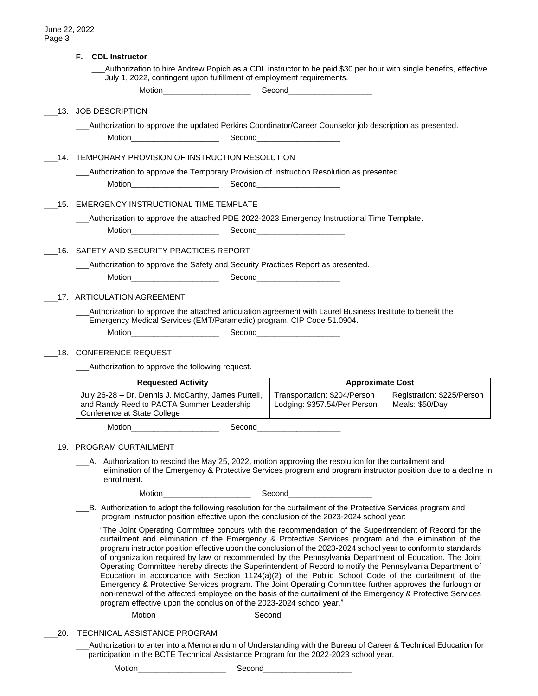|                                          | F.<br><b>CDL Instructor</b>                                                                                                                                                                                                                                                                                                                                                                                                                                                                                                                                                                                                                                                                                                                                                                                                                                                                                                                                     |                                                              |                                               |  |  |  |
|------------------------------------------|-----------------------------------------------------------------------------------------------------------------------------------------------------------------------------------------------------------------------------------------------------------------------------------------------------------------------------------------------------------------------------------------------------------------------------------------------------------------------------------------------------------------------------------------------------------------------------------------------------------------------------------------------------------------------------------------------------------------------------------------------------------------------------------------------------------------------------------------------------------------------------------------------------------------------------------------------------------------|--------------------------------------------------------------|-----------------------------------------------|--|--|--|
|                                          | Authorization to hire Andrew Popich as a CDL instructor to be paid \$30 per hour with single benefits, effective<br>July 1, 2022, contingent upon fulfillment of employment requirements.                                                                                                                                                                                                                                                                                                                                                                                                                                                                                                                                                                                                                                                                                                                                                                       |                                                              |                                               |  |  |  |
|                                          |                                                                                                                                                                                                                                                                                                                                                                                                                                                                                                                                                                                                                                                                                                                                                                                                                                                                                                                                                                 |                                                              |                                               |  |  |  |
|                                          | 13. JOB DESCRIPTION                                                                                                                                                                                                                                                                                                                                                                                                                                                                                                                                                                                                                                                                                                                                                                                                                                                                                                                                             |                                                              |                                               |  |  |  |
|                                          | _Authorization to approve the updated Perkins Coordinator/Career Counselor job description as presented.                                                                                                                                                                                                                                                                                                                                                                                                                                                                                                                                                                                                                                                                                                                                                                                                                                                        |                                                              |                                               |  |  |  |
|                                          | Motion______________________                                                                                                                                                                                                                                                                                                                                                                                                                                                                                                                                                                                                                                                                                                                                                                                                                                                                                                                                    | Second______________________                                 |                                               |  |  |  |
|                                          | 14. TEMPORARY PROVISION OF INSTRUCTION RESOLUTION                                                                                                                                                                                                                                                                                                                                                                                                                                                                                                                                                                                                                                                                                                                                                                                                                                                                                                               |                                                              |                                               |  |  |  |
|                                          | _Authorization to approve the Temporary Provision of Instruction Resolution as presented.                                                                                                                                                                                                                                                                                                                                                                                                                                                                                                                                                                                                                                                                                                                                                                                                                                                                       |                                                              |                                               |  |  |  |
|                                          |                                                                                                                                                                                                                                                                                                                                                                                                                                                                                                                                                                                                                                                                                                                                                                                                                                                                                                                                                                 |                                                              |                                               |  |  |  |
|                                          | 15. EMERGENCY INSTRUCTIONAL TIME TEMPLATE                                                                                                                                                                                                                                                                                                                                                                                                                                                                                                                                                                                                                                                                                                                                                                                                                                                                                                                       |                                                              |                                               |  |  |  |
|                                          | _Authorization to approve the attached PDE 2022-2023 Emergency Instructional Time Template.                                                                                                                                                                                                                                                                                                                                                                                                                                                                                                                                                                                                                                                                                                                                                                                                                                                                     |                                                              |                                               |  |  |  |
|                                          | Motion________________________                                                                                                                                                                                                                                                                                                                                                                                                                                                                                                                                                                                                                                                                                                                                                                                                                                                                                                                                  | Second_______________________                                |                                               |  |  |  |
| 16. SAFETY AND SECURITY PRACTICES REPORT |                                                                                                                                                                                                                                                                                                                                                                                                                                                                                                                                                                                                                                                                                                                                                                                                                                                                                                                                                                 |                                                              |                                               |  |  |  |
|                                          | _Authorization to approve the Safety and Security Practices Report as presented.                                                                                                                                                                                                                                                                                                                                                                                                                                                                                                                                                                                                                                                                                                                                                                                                                                                                                |                                                              |                                               |  |  |  |
|                                          |                                                                                                                                                                                                                                                                                                                                                                                                                                                                                                                                                                                                                                                                                                                                                                                                                                                                                                                                                                 |                                                              |                                               |  |  |  |
|                                          | 17. ARTICULATION AGREEMENT                                                                                                                                                                                                                                                                                                                                                                                                                                                                                                                                                                                                                                                                                                                                                                                                                                                                                                                                      |                                                              |                                               |  |  |  |
|                                          | Authorization to approve the attached articulation agreement with Laurel Business Institute to benefit the                                                                                                                                                                                                                                                                                                                                                                                                                                                                                                                                                                                                                                                                                                                                                                                                                                                      |                                                              |                                               |  |  |  |
|                                          | Emergency Medical Services (EMT/Paramedic) program, CIP Code 51.0904.                                                                                                                                                                                                                                                                                                                                                                                                                                                                                                                                                                                                                                                                                                                                                                                                                                                                                           |                                                              |                                               |  |  |  |
|                                          |                                                                                                                                                                                                                                                                                                                                                                                                                                                                                                                                                                                                                                                                                                                                                                                                                                                                                                                                                                 |                                                              |                                               |  |  |  |
|                                          | 18. CONFERENCE REQUEST                                                                                                                                                                                                                                                                                                                                                                                                                                                                                                                                                                                                                                                                                                                                                                                                                                                                                                                                          |                                                              |                                               |  |  |  |
|                                          | Authorization to approve the following request.                                                                                                                                                                                                                                                                                                                                                                                                                                                                                                                                                                                                                                                                                                                                                                                                                                                                                                                 |                                                              |                                               |  |  |  |
|                                          | <b>Requested Activity</b>                                                                                                                                                                                                                                                                                                                                                                                                                                                                                                                                                                                                                                                                                                                                                                                                                                                                                                                                       | <b>Approximate Cost</b>                                      |                                               |  |  |  |
|                                          | July 26-28 - Dr. Dennis J. McCarthy, James Purtell,<br>and Randy Reed to PACTA Summer Leadership<br>Conference at State College                                                                                                                                                                                                                                                                                                                                                                                                                                                                                                                                                                                                                                                                                                                                                                                                                                 | Transportation: \$204/Person<br>Lodging: \$357.54/Per Person | Registration: \$225/Person<br>Meals: \$50/Day |  |  |  |
|                                          | Motion <b>Executive Service Service Service</b> Service Service Service Service Service Service Service Service Service<br>Second                                                                                                                                                                                                                                                                                                                                                                                                                                                                                                                                                                                                                                                                                                                                                                                                                               |                                                              |                                               |  |  |  |
|                                          | __19. PROGRAM CURTAILMENT                                                                                                                                                                                                                                                                                                                                                                                                                                                                                                                                                                                                                                                                                                                                                                                                                                                                                                                                       |                                                              |                                               |  |  |  |
|                                          | A. Authorization to rescind the May 25, 2022, motion approving the resolution for the curtailment and<br>elimination of the Emergency & Protective Services program and program instructor position due to a decline in<br>enrollment.                                                                                                                                                                                                                                                                                                                                                                                                                                                                                                                                                                                                                                                                                                                          |                                                              |                                               |  |  |  |
|                                          | Motion <b>Executive Service Service Service</b> Service Service Service Service Service Service Service Service Service                                                                                                                                                                                                                                                                                                                                                                                                                                                                                                                                                                                                                                                                                                                                                                                                                                         | Second <b>Executive Second</b>                               |                                               |  |  |  |
|                                          | B. Authorization to adopt the following resolution for the curtailment of the Protective Services program and<br>program instructor position effective upon the conclusion of the 2023-2024 school year:                                                                                                                                                                                                                                                                                                                                                                                                                                                                                                                                                                                                                                                                                                                                                        |                                                              |                                               |  |  |  |
|                                          | "The Joint Operating Committee concurs with the recommendation of the Superintendent of Record for the<br>curtailment and elimination of the Emergency & Protective Services program and the elimination of the<br>program instructor position effective upon the conclusion of the 2023-2024 school year to conform to standards<br>of organization required by law or recommended by the Pennsylvania Department of Education. The Joint<br>Operating Committee hereby directs the Superintendent of Record to notify the Pennsylvania Department of<br>Education in accordance with Section 1124(a)(2) of the Public School Code of the curtailment of the<br>Emergency & Protective Services program. The Joint Operating Committee further approves the furlough or<br>non-renewal of the affected employee on the basis of the curtailment of the Emergency & Protective Services<br>program effective upon the conclusion of the 2023-2024 school year." |                                                              |                                               |  |  |  |
|                                          | Motion___________________________                                                                                                                                                                                                                                                                                                                                                                                                                                                                                                                                                                                                                                                                                                                                                                                                                                                                                                                               | Second_______________________                                |                                               |  |  |  |
| 20.                                      | TECHNICAL ASSISTANCE PROGRAM                                                                                                                                                                                                                                                                                                                                                                                                                                                                                                                                                                                                                                                                                                                                                                                                                                                                                                                                    |                                                              |                                               |  |  |  |
|                                          | Authorization to enter into a Memorandum of Understanding with the Bureau of Career & Technical Education for<br>participation in the BCTE Technical Assistance Program for the 2022-2023 school year.                                                                                                                                                                                                                                                                                                                                                                                                                                                                                                                                                                                                                                                                                                                                                          |                                                              |                                               |  |  |  |
|                                          | M <sub>offon</sub><br>Cooped                                                                                                                                                                                                                                                                                                                                                                                                                                                                                                                                                                                                                                                                                                                                                                                                                                                                                                                                    |                                                              |                                               |  |  |  |

Motion\_\_\_\_\_\_\_\_\_\_\_\_\_\_\_\_\_\_\_\_ Second\_\_\_\_\_\_\_\_\_\_\_\_\_\_\_\_\_\_\_\_